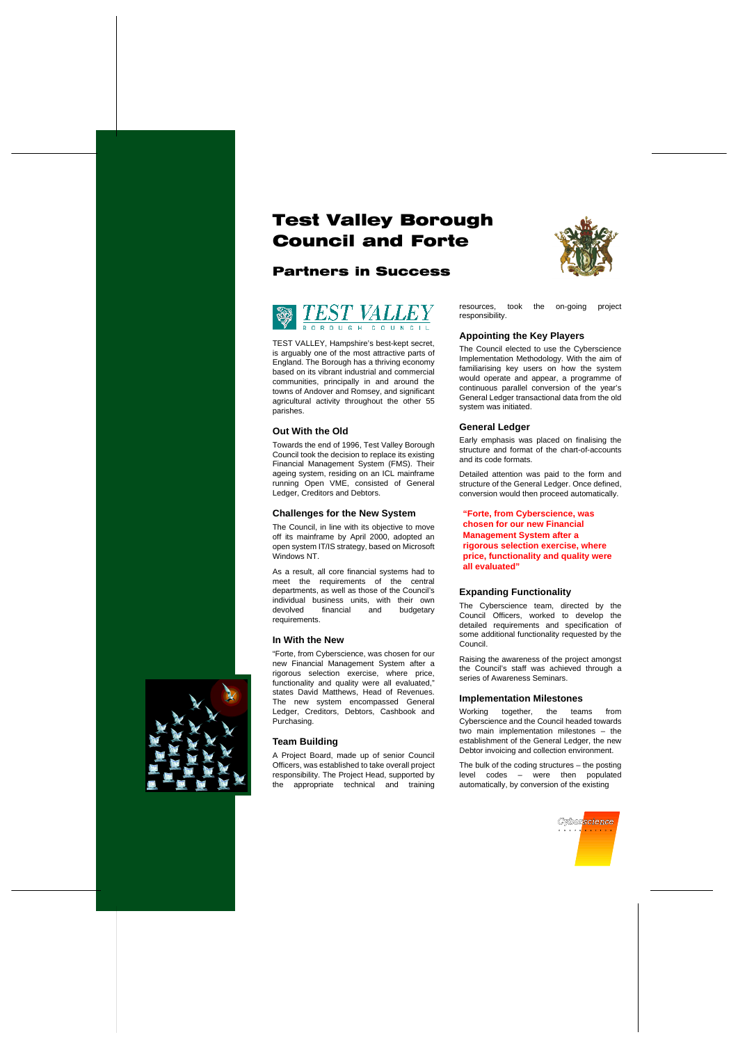# **Test Valley Borough Council and Forte**







TEST VALLEY, Hampshire's best-kept secret, is arguably one of the most attractive parts of England. The Borough has a thriving economy based on its vibrant industrial and commercial communities, principally in and around the towns of Andover and Romsey, and significant agricultural activity throughout the other 55 parishes.

## **Out With the Old**

Towards the end of 1996, Test Valley Borough Council took the decision to replace its existing Financial Management System (FMS). Their ageing system, residing on an ICL mainframe running Open VME, consisted of General Ledger, Creditors and Debtors.

## **Challenges for the New System**

The Council, in line with its objective to move off its mainframe by April 2000, adopted an open system IT/IS strategy, based on Microsoft Windows NT.

As a result, all core financial systems had to meet the requirements of the central departments, as well as those of the Council's individual business units, with their own devolved financial and budgetary requirements.

## **In With the New**

"Forte, from Cyberscience, was chosen for our new Financial Management System after a rigorous selection exercise, where price, functionality and quality were all evaluated," states David Matthews, Head of Revenues. The new system encompassed General Ledger, Creditors, Debtors, Cashbook and Purchasing.

# **Team Building**

A Project Board, made up of senior Council Officers, was established to take overall project responsibility. The Project Head, supported by the appropriate technical and training

resources, took the on-going project responsibility.

## **Appointing the Key Players**

The Council elected to use the Cyberscience Implementation Methodology. With the aim of familiarising key users on how the system would operate and appear, a programme of continuous parallel conversion of the year's General Ledger transactional data from the old system was initiated.

## **General Ledger**

Early emphasis was placed on finalising the structure and format of the chart-of-accounts and its code formats.

Detailed attention was paid to the form and structure of the General Ledger. Once defined, conversion would then proceed automatically.

**"Forte, from Cyberscience, was chosen for our new Financial Management System after a rigorous selection exercise, where price, functionality and quality were all evaluated"**

# **Expanding Functionality**

The Cyberscience team, directed by the Council Officers, worked to develop the detailed requirements and specification of some additional functionality requested by the Council.

Raising the awareness of the project amongst the Council's staff was achieved through a series of Awareness Seminars.

### **Implementation Milestones**

Working together, the teams from Cyberscience and the Council headed towards two main implementation milestones – the establishment of the General Ledger, the new Debtor invoicing and collection environment.

The bulk of the coding structures – the posting level codes – were then populated automatically, by conversion of the existing



*vber<mark>science</mark>*